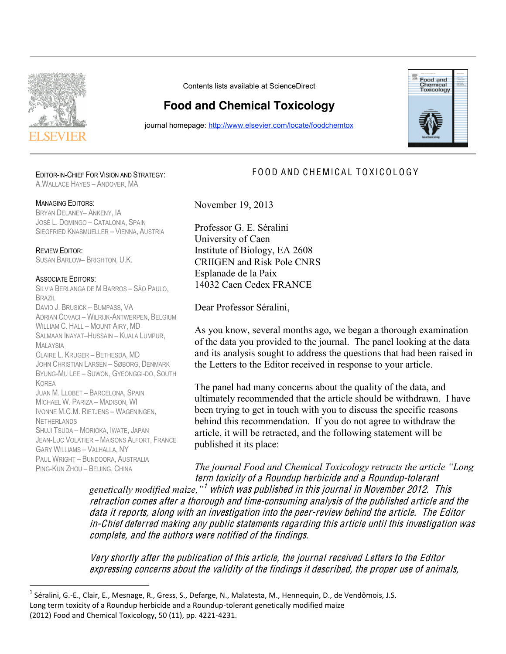

Contents lists available at ScienceDirect

## **Food and Chemical Toxicology**

journal homepage: http://www.elsevier.com/locate/foodchemtox



## EDITOR-IN-CHIEF FOR VISION AND STRATEGY:

A.WALLACE HAYES – ANDOVER, MA

## MANAGING EDITORS:

BRYAN DELANEY– ANKENY, IA JOSÉ L. DOMINGO – CATALONIA, SPAIN SIEGFRIED KNASMUELLER – VIENNA, AUSTRIA

REVIEW EDITOR: SUSAN BARLOW– BRIGHTON, U.K.

## ASSOCIATE EDITORS:

SILVIA BERLANGA DE M BARROS – SÃO PAULO, BRAZIL DAVID J. BRUSICK – BUMPASS, VA ADRIAN COVACI - WILRIJK-ANTWERPEN, BELGIUM WILLIAM C. HALL – MOUNT AIRY, MD SALMAAN INAYAT–HUSSAIN – KUALA LUMPUR, MAI AYSIA CLAIRE L. KRUGER – BETHESDA, MD JOHN CHRISTIAN LARSEN – SØBORG, DENMARK BYUNG-MU LEE – SUWON, GYEONGGI-DO, SOUTH KOREA JUAN M. LLOBET – BARCELONA, SPAIN MICHAEL W. PARIZA – MADISON, WI IVONNE M.C.M. RIETJENS – WAGENINGEN, **NETHERLANDS** SHUJI TSUDA – MORIOKA, IWATE, JAPAN JEANLUC VOLATIER – MAISONS ALFORT, FRANCE GARY WILLIAMS – VALHALLA, NY PAUL WRIGHT – BUNDOORA, AUSTRALIA PING-KUN ZHOU – BEIJING, CHINA

<u> 1989 - Jan Samuel Barbara, poeta esperanto-poeta esperanto-poeta esperanto-poeta esperanto-poeta esperanto-po</u>

November 19, 2013

Professor G. E. Séralini University of Caen Institute of Biology, EA 2608 CRIIGEN and Risk Pole CNRS Esplanade de la Paix 14032 Caen Cedex FRANCE

Dear Professor Séralini,

As you know, several months ago, we began a thorough examination of the data you provided to the journal. The panel looking at the data and its analysis sought to address the questions that had been raised in the Letters to the Editor received in response to your article.

FOOD AND CHEMICAL TOXICOLOGY

The panel had many concerns about the quality of the data, and ultimately recommended that the article should be withdrawn. I have been trying to get in touch with you to discuss the specific reasons behind this recommendation. If you do not agree to withdraw the article, it will be retracted, and the following statement will be published it its place:

*The journal Food and Chemical Toxicology retracts the article "Long*  ter<sup>m</sup> toxicity <sup>o</sup>f <sup>a</sup> Roundup herbicid<sup>e</sup> and <sup>a</sup> Roundup-tolerant

genetically modified maize,<sup>"1</sup> which wa**s** published in this journal in November 2012. This consident in the comparation of the consuming analysis of the published article and the retraction comes aren a morough and time consuming analysis of the pashished article and the<br>data it reports, along with an investigation into the peer-review behind the article. The Editor in-Chief deferred making any public statements regarding this article until this investigation was complete, and the authors were notified of the findings. UALA IL TEPULIS, ATUNY

Very shortly after the publication of this article, the journal received Letters to the Editor <sup>e</sup>xpressing <sup>c</sup>oncern<sup>s</sup> about th<sup>e</sup> validity <sup>o</sup>f th<sup>e</sup> finding<sup>s</sup> it described, th<sup>e</sup> prope<sup>r</sup> <sup>u</sup>s<sup>e</sup> <sup>o</sup>f animals, VUTY JITOTTI

<sup>&</sup>lt;sup>1</sup> Séralini, G.-E., Clair, E., Mesnage, R., Gress, S., Defarge, N., Malatesta, M., Hennequin, D., de Vendômois, J.S. Long term toxicity of a Roundup herbicide and a Roundup-tolerant genetically modified maize (2012) Food and Chemical Toxicology, 50 (11), pp. 4221‐4231.